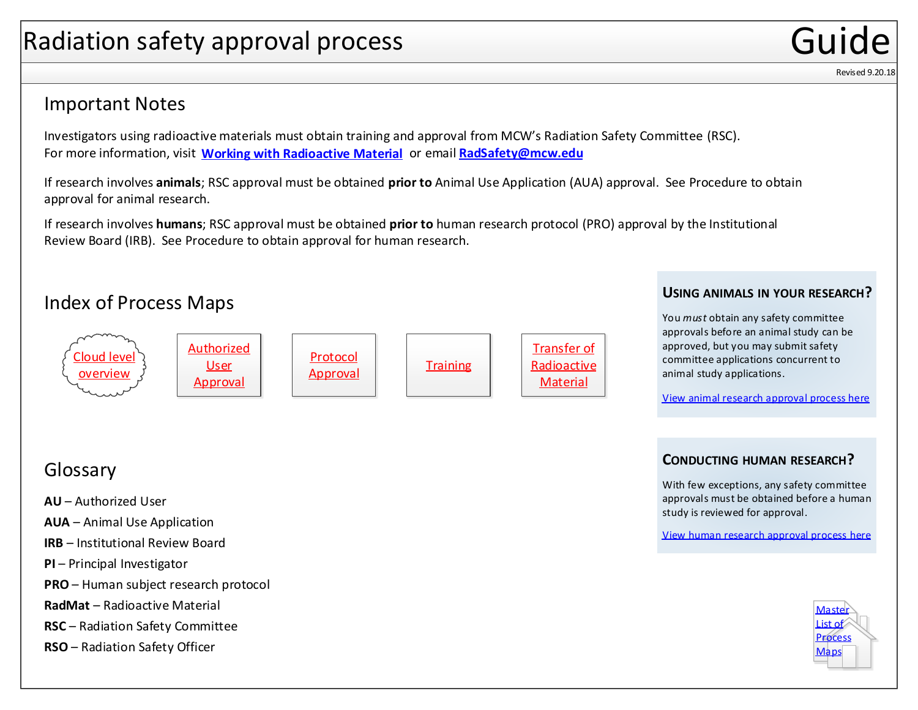# <span id="page-0-0"></span>Radiation safety approval process

### Important Notes

Investigators using radioactive materials must obtain training and approval from MCW's Radiation Safety Committee (RSC). For more information, visit **[Working with Radioactive Material](https://www.mcw.edu/departments/research-resources/onboarding/FAQs/working-with-radioactive-material)** or email **[RadSafety@mcw.edu](mailto:RadSafety@mcw.edu)**

If research involves **animals**; RSC approval must be obtained **prior to** Animal Use Application (AUA) approval. See Procedure to obtain approval for animal research.

If research involves **humans**; RSC approval must be obtained **prior to** human research protocol (PRO) approval by the Institutional Review Board (IRB). See Procedure to obtain approval for human research.

## Index of Process Maps



#### **USING ANIMALS IN YOUR RESEARCH?**

You *must* obtain any safety committee approvals before an animal study can be approved, but you may submit safety committee applications concurrent to animal study applications.

[View animal research approval process here](https://www.mcw.edu/-/media/MCW/Departments/Research-Resources/animalresearchapproval.pdf)

#### **CONDUCTING HUMAN RESEARCH?**

With few exceptions, any safety committee [approvals must be obtained before a human](https://www.mcw.edu/-/media/MCW/Departments/Research-Resources/humanresearchapproval.pdf)  study is reviewed for approval.

View human research approval process here



Revised 9.20.18

### Glossary

- **AU** Authorized User
- **AUA** Animal Use Application
- **IRB**  Institutional Review Board
- **PI** Principal Investigator
- **PRO** Human subject research protocol
- **RadMat** Radioactive Material
- **RSC** Radiation Safety Committee
- **RSO** Radiation Safety Officer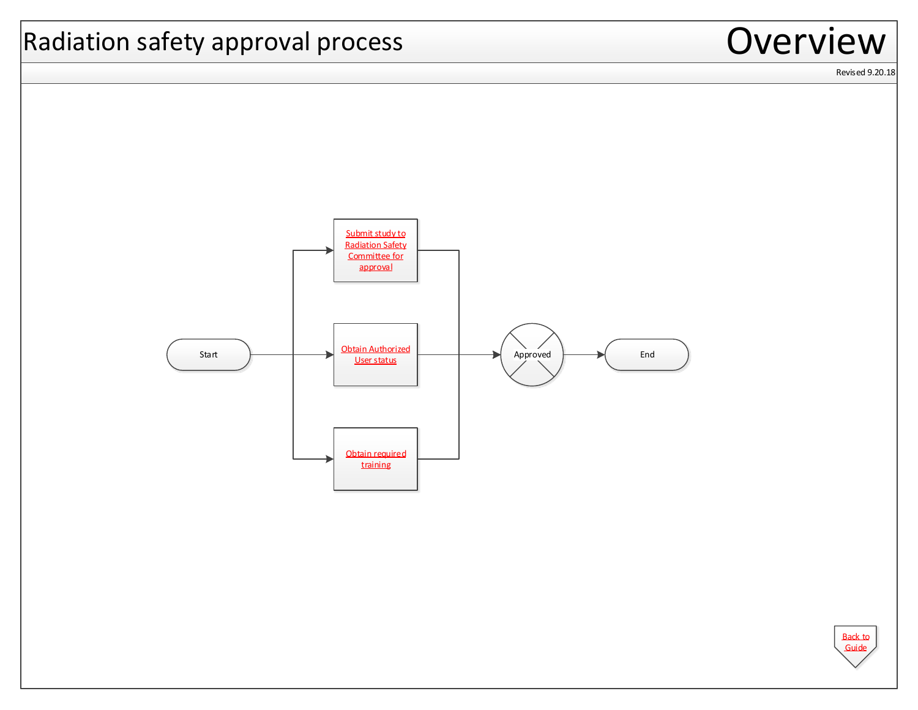<span id="page-1-0"></span>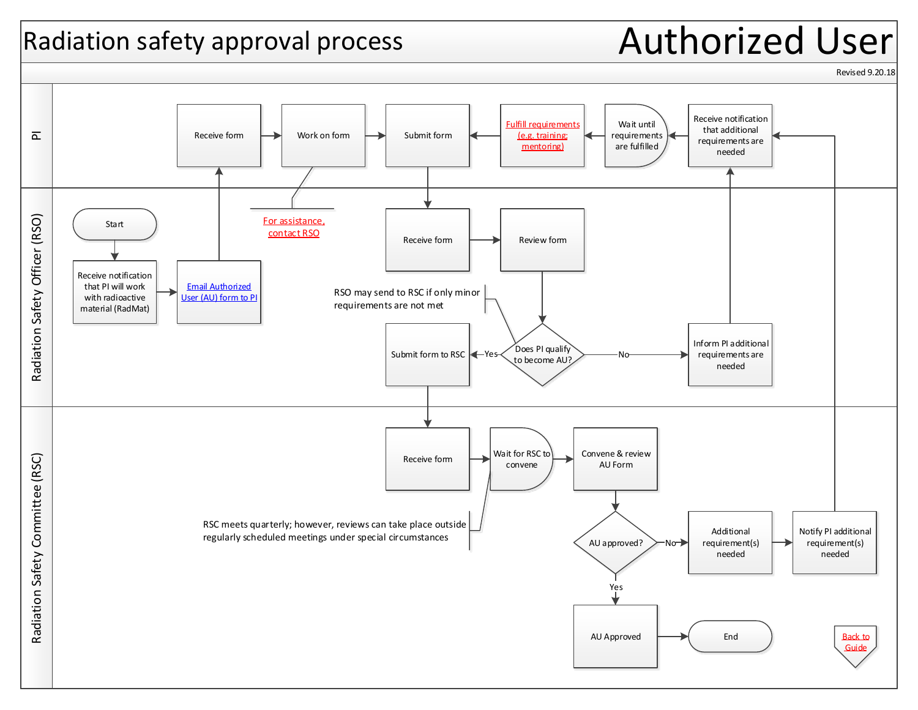# <span id="page-2-0"></span>Radiation safety approval process **Authorized User**



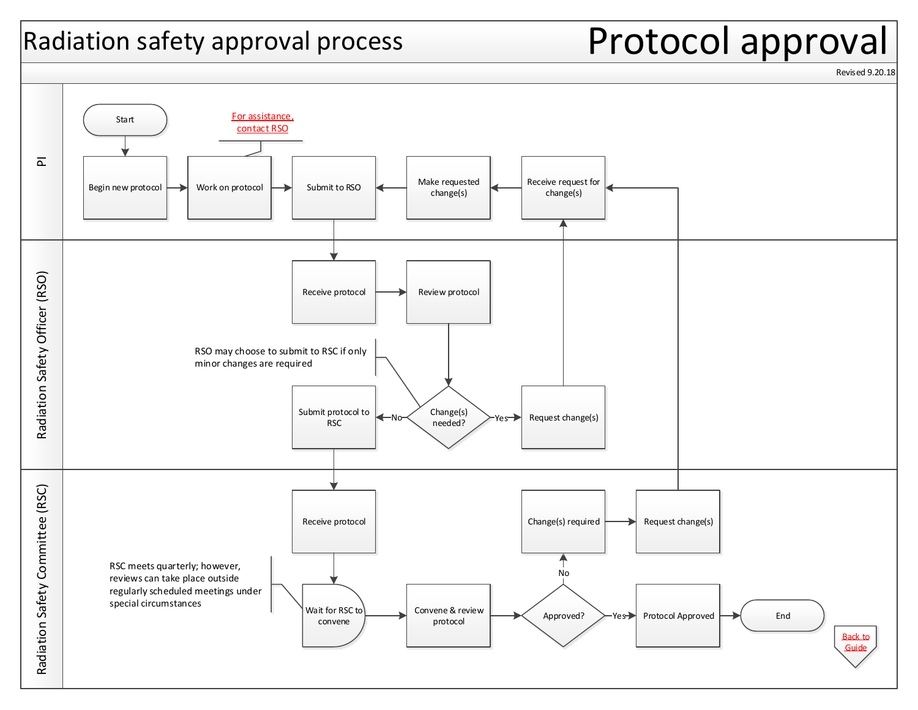# <span id="page-3-0"></span>Radiation safety approval process  $\blacksquare$ Protocol approval

Revised 9.20.18

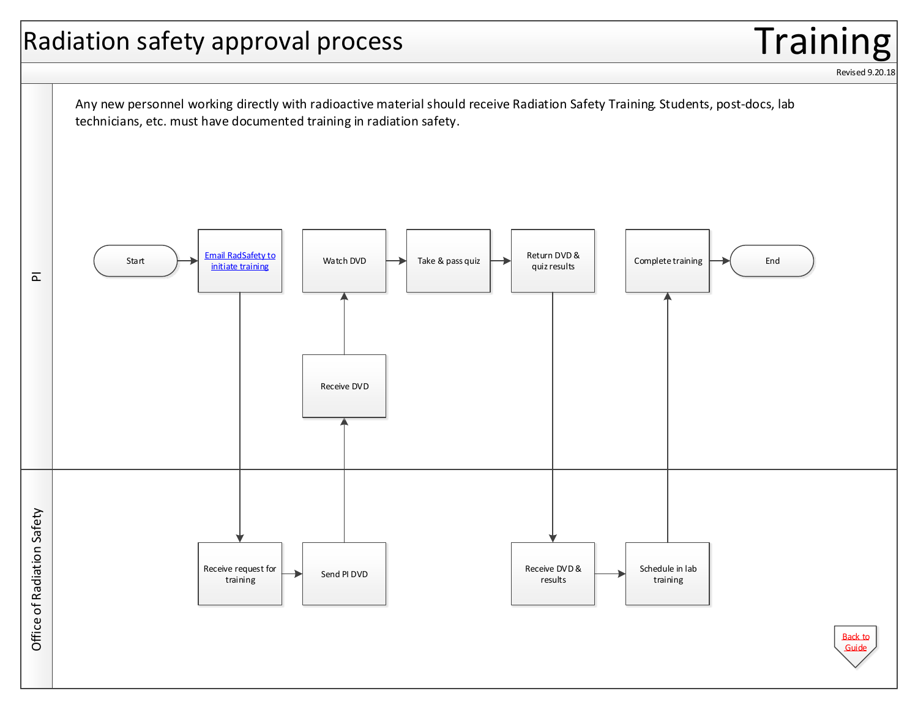# <span id="page-4-0"></span>Radiation safety approval process  $\blacksquare$

Revised 9.20.18